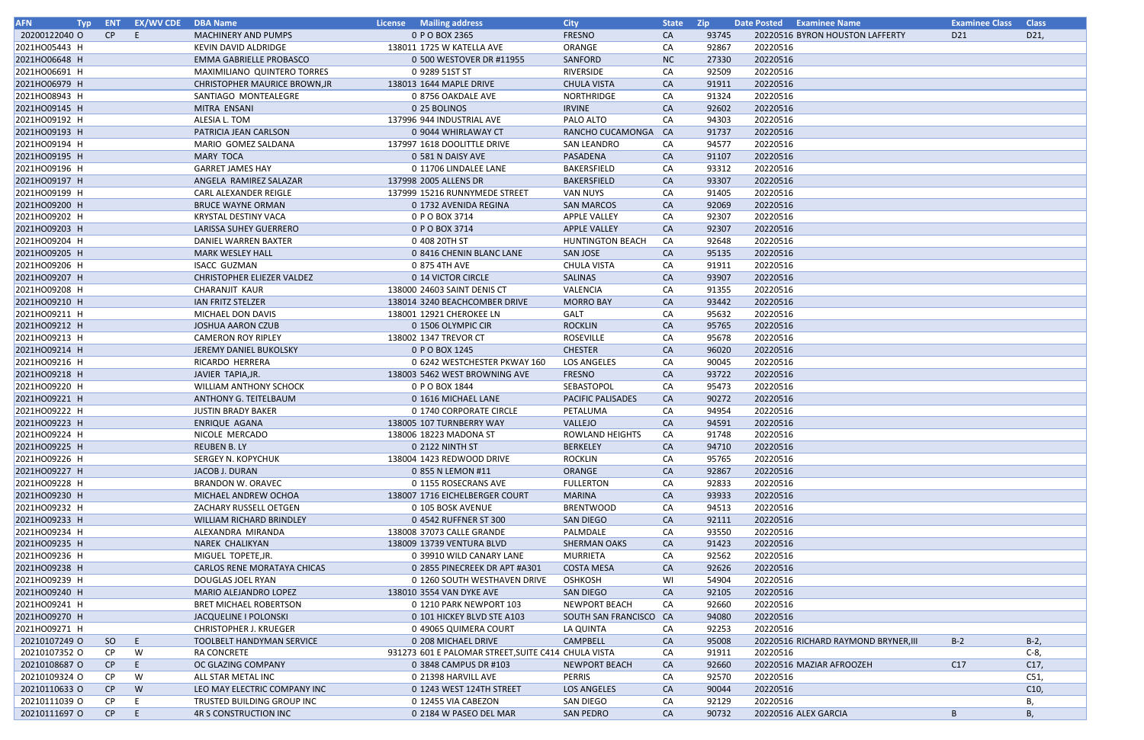| <b>AFN</b>    | Typ ENT | <b>EX/WV CDE</b> | <b>DBA Name</b>                      | License Mailing address                             | <b>City</b>              | State Zip |       | Date Posted Examinee Name            | <b>Examinee Class</b> | <b>Class</b> |
|---------------|---------|------------------|--------------------------------------|-----------------------------------------------------|--------------------------|-----------|-------|--------------------------------------|-----------------------|--------------|
| 20200122040 O | CP      | E.               | <b>MACHINERY AND PUMPS</b>           | 0 P O BOX 2365                                      | <b>FRESNO</b>            | CA        | 93745 | 20220516 BYRON HOUSTON LAFFERTY      | D <sub>21</sub>       | D21,         |
| 2021HO05443 H |         |                  | KEVIN DAVID ALDRIDGE                 | 138011 1725 W KATELLA AVE                           | ORANGE                   | CA        | 92867 | 20220516                             |                       |              |
| 2021HO06648 H |         |                  | <b>EMMA GABRIELLE PROBASCO</b>       | 0 500 WESTOVER DR #11955                            | SANFORD                  | <b>NC</b> | 27330 | 20220516                             |                       |              |
| 2021HO06691 H |         |                  | MAXIMILIANO QUINTERO TORRES          | 0 9289 51ST ST                                      | RIVERSIDE                | CA        | 92509 | 20220516                             |                       |              |
| 2021HO06979 H |         |                  | <b>CHRISTOPHER MAURICE BROWN, JR</b> | 138013 1644 MAPLE DRIVE                             | <b>CHULA VISTA</b>       | <b>CA</b> | 91911 | 20220516                             |                       |              |
| 2021HO08943 H |         |                  | SANTIAGO MONTEALEGRE                 | 0 8756 OAKDALE AVE                                  | NORTHRIDGE               | CA        | 91324 | 20220516                             |                       |              |
| 2021HO09145 H |         |                  | MITRA ENSANI                         | 0 25 BOLINOS                                        | <b>IRVINE</b>            | <b>CA</b> | 92602 | 20220516                             |                       |              |
| 2021HO09192 H |         |                  | ALESIA L. TOM                        | 137996 944 INDUSTRIAL AVE                           | PALO ALTO                | CA        | 94303 | 20220516                             |                       |              |
| 2021HO09193 H |         |                  | PATRICIA JEAN CARLSON                | 0 9044 WHIRLAWAY CT                                 | RANCHO CUCAMONGA         | <b>CA</b> | 91737 | 20220516                             |                       |              |
| 2021HO09194 H |         |                  | MARIO GOMEZ SALDANA                  | 137997 1618 DOOLITTLE DRIVE                         | <b>SAN LEANDRO</b>       | CA        | 94577 | 20220516                             |                       |              |
|               |         |                  |                                      |                                                     |                          |           |       |                                      |                       |              |
| 2021HO09195 H |         |                  | <b>MARY TOCA</b>                     | 0 581 N DAISY AVE                                   | PASADENA                 | <b>CA</b> | 91107 | 20220516                             |                       |              |
| 2021HO09196 H |         |                  | <b>GARRET JAMES HAY</b>              | 0 11706 LINDALEE LANE                               | BAKERSFIELD              | CA        | 93312 | 20220516                             |                       |              |
| 2021HO09197 H |         |                  | ANGELA RAMIREZ SALAZAR               | 137998 2005 ALLENS DR                               | <b>BAKERSFIELD</b>       | <b>CA</b> | 93307 | 20220516                             |                       |              |
| 2021HO09199 H |         |                  | CARL ALEXANDER REIGLE                | 137999 15216 RUNNYMEDE STREET                       | <b>VAN NUYS</b>          | CA        | 91405 | 20220516                             |                       |              |
| 2021HO09200 H |         |                  | <b>BRUCE WAYNE ORMAN</b>             | 0 1732 AVENIDA REGINA                               | <b>SAN MARCOS</b>        | CA        | 92069 | 20220516                             |                       |              |
| 2021HO09202 H |         |                  | <b>KRYSTAL DESTINY VACA</b>          | 0 P O BOX 3714                                      | <b>APPLE VALLEY</b>      | CA        | 92307 | 20220516                             |                       |              |
| 2021HO09203 H |         |                  | LARISSA SUHEY GUERRERO               | 0 P O BOX 3714                                      | <b>APPLE VALLEY</b>      | <b>CA</b> | 92307 | 20220516                             |                       |              |
| 2021HO09204 H |         |                  | DANIEL WARREN BAXTER                 | 0 408 20TH ST                                       | <b>HUNTINGTON BEACH</b>  | CA        | 92648 | 20220516                             |                       |              |
| 2021HO09205 H |         |                  | <b>MARK WESLEY HALL</b>              | 0 8416 CHENIN BLANC LANE                            | <b>SAN JOSE</b>          | <b>CA</b> | 95135 | 20220516                             |                       |              |
| 2021HO09206 H |         |                  | <b>ISACC GUZMAN</b>                  | 0 875 4TH AVE                                       | <b>CHULA VISTA</b>       | CA        | 91911 | 20220516                             |                       |              |
| 2021HO09207 H |         |                  | <b>CHRISTOPHER ELIEZER VALDEZ</b>    | 0 14 VICTOR CIRCLE                                  | SALINAS                  | <b>CA</b> | 93907 | 20220516                             |                       |              |
| 2021HO09208 H |         |                  | <b>CHARANJIT KAUR</b>                | 138000 24603 SAINT DENIS CT                         | VALENCIA                 | CA        | 91355 | 20220516                             |                       |              |
| 2021HO09210 H |         |                  | IAN FRITZ STELZER                    | 138014 3240 BEACHCOMBER DRIVE                       | <b>MORRO BAY</b>         | CA        | 93442 | 20220516                             |                       |              |
| 2021HO09211 H |         |                  | MICHAEL DON DAVIS                    | 138001 12921 CHEROKEE LN                            | GALT                     | CA        | 95632 | 20220516                             |                       |              |
|               |         |                  |                                      |                                                     |                          |           |       | 20220516                             |                       |              |
| 2021HO09212 H |         |                  | <b>JOSHUA AARON CZUB</b>             | 0 1506 OLYMPIC CIR                                  | <b>ROCKLIN</b>           | <b>CA</b> | 95765 |                                      |                       |              |
| 2021HO09213 H |         |                  | <b>CAMERON ROY RIPLEY</b>            | 138002 1347 TREVOR CT                               | ROSEVILLE                | CA        | 95678 | 20220516                             |                       |              |
| 2021HO09214 H |         |                  | JEREMY DANIEL BUKOLSKY               | 0 P O BOX 1245                                      | <b>CHESTER</b>           | <b>CA</b> | 96020 | 20220516                             |                       |              |
| 2021HO09216 H |         |                  | RICARDO HERRERA                      | 0 6242 WESTCHESTER PKWAY 160                        | <b>LOS ANGELES</b>       | CA        | 90045 | 20220516                             |                       |              |
| 2021HO09218 H |         |                  | JAVIER TAPIA, JR.                    | 138003 5462 WEST BROWNING AVE                       | <b>FRESNO</b>            | <b>CA</b> | 93722 | 20220516                             |                       |              |
| 2021HO09220 H |         |                  | <b>WILLIAM ANTHONY SCHOCK</b>        | 0 P O BOX 1844                                      | SEBASTOPOL               | CA        | 95473 | 20220516                             |                       |              |
| 2021HO09221 H |         |                  | ANTHONY G. TEITELBAUM                | 0 1616 MICHAEL LANE                                 | <b>PACIFIC PALISADES</b> | <b>CA</b> | 90272 | 20220516                             |                       |              |
| 2021HO09222 H |         |                  | <b>JUSTIN BRADY BAKER</b>            | 0 1740 CORPORATE CIRCLE                             | PETALUMA                 | CA        | 94954 | 20220516                             |                       |              |
| 2021HO09223 H |         |                  | ENRIQUE AGANA                        | 138005 107 TURNBERRY WAY                            | VALLEJO                  | <b>CA</b> | 94591 | 20220516                             |                       |              |
| 2021HO09224 H |         |                  | NICOLE MERCADO                       | 138006 18223 MADONA ST                              | ROWLAND HEIGHTS          | CA        | 91748 | 20220516                             |                       |              |
| 2021HO09225 H |         |                  | <b>REUBEN B. LY</b>                  | 0 2122 NINTH ST                                     | <b>BERKELEY</b>          | <b>CA</b> | 94710 | 20220516                             |                       |              |
| 2021HO09226 H |         |                  | <b>SERGEY N. KOPYCHUK</b>            | 138004 1423 REDWOOD DRIVE                           | <b>ROCKLIN</b>           | CA        | 95765 | 20220516                             |                       |              |
| 2021HO09227 H |         |                  | JACOB J. DURAN                       | 0 855 N LEMON #11                                   | ORANGE                   | CA        | 92867 | 20220516                             |                       |              |
| 2021HO09228 H |         |                  | <b>BRANDON W. ORAVEC</b>             | 0 1155 ROSECRANS AVE                                | <b>FULLERTON</b>         | CA        | 92833 | 20220516                             |                       |              |
| 2021HO09230 H |         |                  | MICHAEL ANDREW OCHOA                 | 138007 1716 EICHELBERGER COURT                      | MARINA                   | CA        | 93933 | 20220516                             |                       |              |
| 2021HO09232 H |         |                  | ZACHARY RUSSELL OETGEN               | 0 105 BOSK AVENUE                                   | <b>BRENTWOOD</b>         | CA        | 94513 | 20220516                             |                       |              |
|               |         |                  |                                      | 0 4542 RUFFNER ST 300                               |                          |           |       |                                      |                       |              |
| 2021HO09233 H |         |                  | WILLIAM RICHARD BRINDLEY             |                                                     | <b>SAN DIEGO</b>         | <b>CA</b> | 92111 | 20220516                             |                       |              |
| 2021HO09234 H |         |                  | ALEXANDRA MIRANDA                    | 138008 37073 CALLE GRANDE                           | PALMDALE                 | CA        | 93550 | 20220516                             |                       |              |
| 2021HO09235 H |         |                  | NAREK CHALIKYAN                      | 138009 13739 VENTURA BLVD                           | <b>SHERMAN OAKS</b>      | <b>CA</b> | 91423 | 20220516                             |                       |              |
| 2021HO09236 H |         |                  | MIGUEL TOPETE, JR.                   | 0 39910 WILD CANARY LANE                            | <b>MURRIETA</b>          | CA        | 92562 | 20220516                             |                       |              |
| 2021HO09238 H |         |                  | CARLOS RENE MORATAYA CHICAS          | 0 2855 PINECREEK DR APT #A301                       | <b>COSTA MESA</b>        | CA        | 92626 | 20220516                             |                       |              |
| 2021HO09239 H |         |                  | DOUGLAS JOEL RYAN                    | 0 1260 SOUTH WESTHAVEN DRIVE                        | <b>OSHKOSH</b>           | WI        | 54904 | 20220516                             |                       |              |
| 2021HO09240 H |         |                  | MARIO ALEJANDRO LOPEZ                | 138010 3554 VAN DYKE AVE                            | SAN DIEGO                | <b>CA</b> | 92105 | 20220516                             |                       |              |
| 2021HO09241 H |         |                  | <b>BRET MICHAEL ROBERTSON</b>        | 0 1210 PARK NEWPORT 103                             | <b>NEWPORT BEACH</b>     | CA        | 92660 | 20220516                             |                       |              |
| 2021HO09270 H |         |                  | JACQUELINE I POLONSKI                | 0 101 HICKEY BLVD STE A103                          | SOUTH SAN FRANCISCO CA   |           | 94080 | 20220516                             |                       |              |
| 2021HO09271 H |         |                  | <b>CHRISTOPHER J. KRUEGER</b>        | 0 49065 QUIMERA COURT                               | LA QUINTA                | CA        | 92253 | 20220516                             |                       |              |
| 20210107249 O | SO      | E.               | TOOLBELT HANDYMAN SERVICE            | 0 208 MICHAEL DRIVE                                 | CAMPBELL                 | CA        | 95008 | 20220516 RICHARD RAYMOND BRYNER, III | $B-2$                 | $B-2$ ,      |
| 20210107352 O | CP.     | W                | <b>RA CONCRETE</b>                   | 931273 601 E PALOMAR STREET, SUITE C414 CHULA VISTA |                          | CA        | 91911 | 20220516                             |                       | C-8,         |
| 20210108687 O | CP      | E.               | OC GLAZING COMPANY                   | 0 3848 CAMPUS DR #103                               | <b>NEWPORT BEACH</b>     | CA        | 92660 | 20220516 MAZIAR AFROOZEH             | C17                   | C17,         |
| 20210109324 O | CP.     | W                | ALL STAR METAL INC                   | 0 21398 HARVILL AVE                                 | <b>PERRIS</b>            | CA        | 92570 | 20220516                             |                       | C51,         |
| 20210110633 O | CP      | W                | LEO MAY ELECTRIC COMPANY INC         | 0 1243 WEST 124TH STREET                            | LOS ANGELES              | CA        | 90044 | 20220516                             |                       | C10,         |
|               |         |                  |                                      |                                                     |                          |           |       |                                      |                       |              |
| 20210111039 O | CP.     | Е                | TRUSTED BUILDING GROUP INC           | 0 12455 VIA CABEZON                                 | SAN DIEGO                | CA        | 92129 | 20220516                             |                       | В,           |
| 20210111697 O | CP.     | E.               | <b>4R S CONSTRUCTION INC</b>         | 0 2184 W PASEO DEL MAR                              | <b>SAN PEDRO</b>         | CA        | 90732 | 20220516 ALEX GARCIA                 | B                     | В,           |

| <u>Jame</u>           | <b>Examinee Class</b><br>$\overline{D21}$ | <b>Class</b>       |
|-----------------------|-------------------------------------------|--------------------|
| <b>JSTON LAFFERTY</b> |                                           | D21,               |
|                       |                                           |                    |
|                       |                                           |                    |
|                       |                                           |                    |
|                       |                                           |                    |
|                       |                                           |                    |
|                       |                                           |                    |
|                       |                                           |                    |
|                       |                                           |                    |
|                       |                                           |                    |
|                       |                                           |                    |
|                       |                                           |                    |
|                       |                                           |                    |
|                       |                                           |                    |
|                       |                                           |                    |
|                       |                                           |                    |
|                       |                                           |                    |
|                       |                                           |                    |
|                       |                                           |                    |
|                       |                                           |                    |
|                       |                                           |                    |
|                       |                                           |                    |
|                       |                                           |                    |
|                       |                                           |                    |
|                       |                                           |                    |
|                       |                                           |                    |
|                       |                                           |                    |
|                       |                                           |                    |
|                       |                                           |                    |
|                       |                                           |                    |
|                       |                                           |                    |
|                       |                                           |                    |
|                       |                                           |                    |
|                       |                                           |                    |
|                       |                                           |                    |
|                       |                                           |                    |
|                       |                                           |                    |
|                       |                                           |                    |
|                       |                                           |                    |
|                       |                                           |                    |
|                       |                                           |                    |
|                       |                                           |                    |
|                       |                                           |                    |
|                       |                                           |                    |
|                       |                                           |                    |
|                       |                                           |                    |
|                       |                                           |                    |
|                       |                                           |                    |
| AYMOND BRYNER,III     | $B-2$                                     | $B-2,$             |
|                       |                                           | $\overline{C-8}$ , |
| ROOZEH                | C17                                       | C17,               |
|                       |                                           | C51,               |
|                       |                                           | C10,               |
|                       |                                           | В,                 |
| IA                    | $\sf B$                                   | В,                 |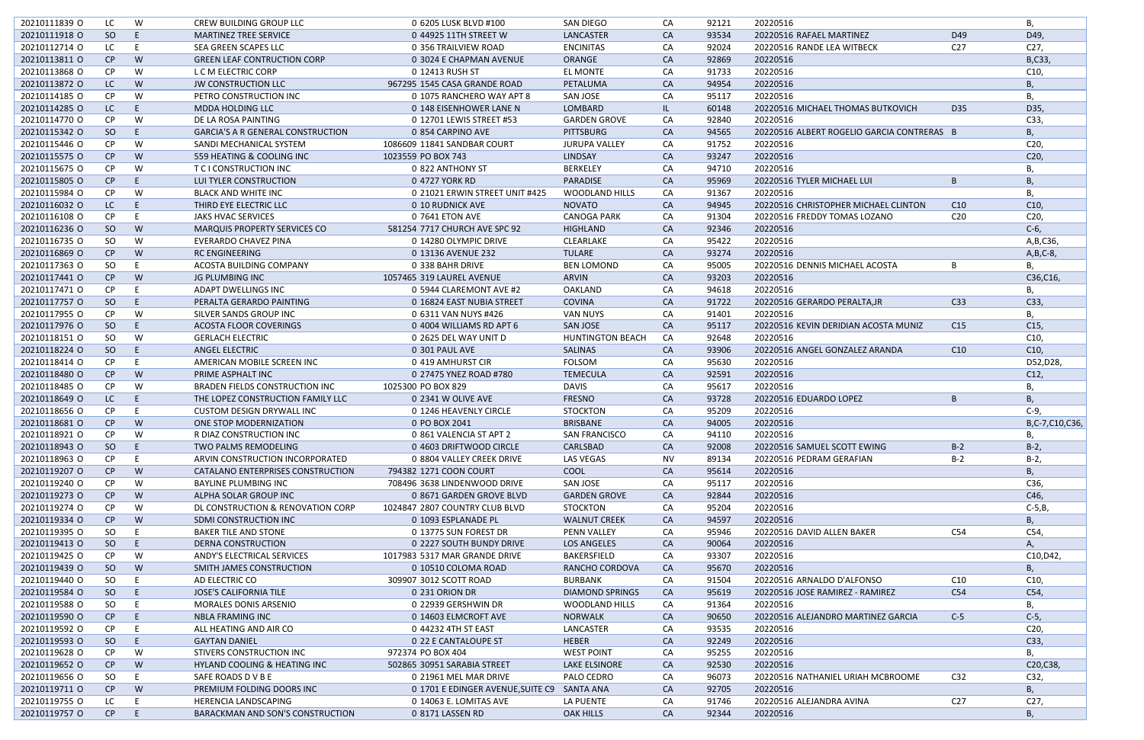| 20210111839 O | LC            | W  | CREW BUILDING GROUP LLC                  | 0 6205 LUSK BLVD #100             | SAN DIEGO               | CA        | 92121 | 20220516                                   |                 | В,              |
|---------------|---------------|----|------------------------------------------|-----------------------------------|-------------------------|-----------|-------|--------------------------------------------|-----------------|-----------------|
| 20210111918 O | <sub>SO</sub> | E  | <b>MARTINEZ TREE SERVICE</b>             | 0 44925 11TH STREET W             | <b>LANCASTER</b>        | <b>CA</b> | 93534 | 20220516 RAFAEL MARTINEZ                   | D49             | D49,            |
| 20210112714 O | LC.           | E  | SEA GREEN SCAPES LLC                     | 0 356 TRAILVIEW ROAD              | <b>ENCINITAS</b>        | CA        | 92024 | 20220516 RANDE LEA WITBECK                 | C <sub>27</sub> | C <sub>27</sub> |
| 20210113811 0 | CP            | W  | <b>GREEN LEAF CONTRUCTION CORP</b>       | 0 3024 E CHAPMAN AVENUE           | <b>ORANGE</b>           | CA        | 92869 | 20220516                                   |                 | B,C33,          |
| 20210113868 O | CP            | W  | L C M ELECTRIC CORP                      | 0 12413 RUSH ST                   | EL MONTE                | CA        | 91733 | 20220516                                   |                 | C10,            |
| 20210113872 O | LC.           | W  | <b>JW CONSTRUCTION LLC</b>               | 967295 1545 CASA GRANDE ROAD      | PETALUMA                | CA        | 94954 | 20220516                                   |                 | Β,              |
| 20210114185 O | CP            | W  | PETRO CONSTRUCTION INC                   | 0 1075 RANCHERO WAY APT 8         | <b>SAN JOSE</b>         | CA        | 95117 | 20220516                                   |                 | B,              |
| 20210114285 O | LC.           | E  | MDDA HOLDING LLC                         | 0 148 EISENHOWER LANE N           | LOMBARD                 | IL.       | 60148 | 20220516 MICHAEL THOMAS BUTKOVICH          | D35             | D35,            |
| 20210114770 O | CP.           | W  | DE LA ROSA PAINTING                      | 0 12701 LEWIS STREET #53          | <b>GARDEN GROVE</b>     | CA        | 92840 | 20220516                                   |                 | C33,            |
| 20210115342 O | SO            | E  | <b>GARCIA'S A R GENERAL CONSTRUCTION</b> | 0 854 CARPINO AVE                 | <b>PITTSBURG</b>        | CA        | 94565 | 20220516 ALBERT ROGELIO GARCIA CONTRERAS B |                 | В,              |
| 20210115446 O | CP.           | W  | SANDI MECHANICAL SYSTEM                  | 1086609 11841 SANDBAR COURT       | <b>JURUPA VALLEY</b>    | CA        | 91752 | 20220516                                   |                 | C <sub>20</sub> |
| 20210115575 O | CP            | W  | 559 HEATING & COOLING INC                | 1023559 PO BOX 743                | LINDSAY                 | CA        | 93247 | 20220516                                   |                 | C20,            |
| 20210115675 O | CP            | W  | T C I CONSTRUCTION INC                   | 0 822 ANTHONY ST                  | <b>BERKELEY</b>         | CA        | 94710 | 20220516                                   |                 | В.              |
| 20210115805 O | CP            | E  | LUI TYLER CONSTRUCTION                   | 0 4727 YORK RD                    | PARADISE                | CA        | 95969 | 20220516 TYLER MICHAEL LUI                 | B               | Β,              |
| 20210115984 O | <b>CP</b>     | W  | <b>BLACK AND WHITE INC</b>               | 0 21021 ERWIN STREET UNIT #425    | <b>WOODLAND HILLS</b>   | CA        | 91367 | 20220516                                   |                 | В,              |
| 20210116032 O | LC            | E  | THIRD EYE ELECTRIC LLC                   |                                   | <b>NOVATO</b>           | <b>CA</b> | 94945 | 20220516 CHRISTOPHER MICHAEL CLINTON       |                 | C10,            |
|               |               |    |                                          | 0 10 RUDNICK AVE                  |                         |           |       |                                            | C10             |                 |
| 20210116108 O | CP            | E  | JAKS HVAC SERVICES                       | 0 7641 ETON AVE                   | <b>CANOGA PARK</b>      | CA        | 91304 | 20220516 FREDDY TOMAS LOZANO               | C <sub>20</sub> | C20,            |
| 20210116236 O | SO            | W  | <b>MARQUIS PROPERTY SERVICES CO</b>      | 581254 7717 CHURCH AVE SPC 92     | <b>HIGHLAND</b>         | CA        | 92346 | 20220516                                   |                 | $C-6$ ,         |
| 20210116735 O | <b>SO</b>     | W  | EVERARDO CHAVEZ PINA                     | 0 14280 OLYMPIC DRIVE             | CLEARLAKE               | CA        | 95422 | 20220516                                   |                 | A, B, C36,      |
| 20210116869 O | CP            | W  | <b>RC ENGINEERING</b>                    | 0 13136 AVENUE 232                | <b>TULARE</b>           | CA        | 93274 | 20220516                                   |                 | $A,B,C-8$       |
| 20210117363 O | <b>SO</b>     |    | <b>ACOSTA BUILDING COMPANY</b>           | 0 338 BAHR DRIVE                  | <b>BEN LOMOND</b>       | CA        | 95005 | 20220516 DENNIS MICHAEL ACOSTA             | B               |                 |
| 20210117441 O | CP            | W  | JG PLUMBING INC                          | 1057465 319 LAUREL AVENUE         | ARVIN                   | CA        | 93203 | 20220516                                   |                 | C36,C16,        |
| 20210117471 0 | CP            | -E | <b>ADAPT DWELLINGS INC</b>               | 0 5944 CLAREMONT AVE #2           | <b>OAKLAND</b>          | CA        | 94618 | 20220516                                   |                 | В,              |
| 20210117757 O | <sub>SO</sub> | E  | PERALTA GERARDO PAINTING                 | 0 16824 EAST NUBIA STREET         | <b>COVINA</b>           | CA        | 91722 | 20220516 GERARDO PERALTA, JR               | C <sub>33</sub> | C33,            |
| 20210117955 O | CP.           | W  | SILVER SANDS GROUP INC                   | 0 6311 VAN NUYS #426              | <b>VAN NUYS</b>         | CA        | 91401 | 20220516                                   |                 | В,              |
| 20210117976 O | <sub>SO</sub> | E  | <b>ACOSTA FLOOR COVERINGS</b>            | 0 4004 WILLIAMS RD APT 6          | <b>SAN JOSE</b>         | CA        | 95117 | 20220516 KEVIN DERIDIAN ACOSTA MUNIZ       | C <sub>15</sub> | C <sub>15</sub> |
| 20210118151 O | SO.           | W  | <b>GERLACH ELECTRIC</b>                  | 0 2625 DEL WAY UNIT D             | <b>HUNTINGTON BEACH</b> | CA        | 92648 | 20220516                                   |                 | C10,            |
| 20210118224 O | SO            | -E | ANGEL ELECTRIC                           | 0 301 PAUL AVE                    | <b>SALINAS</b>          | CA        | 93906 | 20220516 ANGEL GONZALEZ ARANDA             | C10             | C10,            |
| 20210118414 O | CP            | E  | AMERICAN MOBILE SCREEN INC               | 0 419 AMHURST CIR                 | <b>FOLSOM</b>           | CA        | 95630 | 20220516                                   |                 | D52,D28,        |
| 20210118480 O | CP            | W  | PRIME ASPHALT INC                        | 0 27475 YNEZ ROAD #780            | <b>TEMECULA</b>         | <b>CA</b> | 92591 | 20220516                                   |                 | C12,            |
| 20210118485 O | CP.           | W  | <b>BRADEN FIELDS CONSTRUCTION INC</b>    | 1025300 PO BOX 829                | <b>DAVIS</b>            | CA        | 95617 | 20220516                                   |                 | В.              |
| 20210118649 O | LC            | E  | THE LOPEZ CONSTRUCTION FAMILY LLC        | 0 2341 W OLIVE AVE                | <b>FRESNO</b>           | <b>CA</b> | 93728 | 20220516 EDUARDO LOPEZ                     | B               | В,              |
| 20210118656 O | CP.           | -E | <b>CUSTOM DESIGN DRYWALL INC</b>         | 0 1246 HEAVENLY CIRCLE            | <b>STOCKTON</b>         | CA        | 95209 | 20220516                                   |                 | $C-9$           |
|               |               |    |                                          |                                   |                         |           | 94005 | 20220516                                   |                 |                 |
| 20210118681 O | CP            | W  | ONE STOP MODERNIZATION                   | 0 PO BOX 2041                     | <b>BRISBANE</b>         | CA        |       |                                            |                 | B,C-7,C10,C36,  |
| 20210118921 O | CP            | W  | R DIAZ CONSTRUCTION INC                  | 0 861 VALENCIA ST APT 2           | <b>SAN FRANCISCO</b>    | CA        | 94110 | 20220516                                   |                 | В,              |
| 20210118943 O | SO            | E  | TWO PALMS REMODELING                     | 0 4603 DRIFTWOOD CIRCLE           | CARLSBAD                | CA        | 92008 | 20220516 SAMUEL SCOTT EWING                | $B-2$           | $B-2$           |
| 20210118963 O | CP.           | -E | ARVIN CONSTRUCTION INCORPORATED          | 0 8804 VALLEY CREEK DRIVE         | LAS VEGAS               | <b>NV</b> | 89134 | 20220516 PEDRAM GERAFIAN                   | $B-2$           | $B-2$           |
| 20210119207 O | CP.           | W  | CATALANO ENTERPRISES CONSTRUCTION        | 794382 1271 COON COURT            | COOL                    | CA        | 95614 | 20220516                                   |                 | В,              |
| 20210119240 O | CP.           | W  | <b>BAYLINE PLUMBING INC</b>              | 708496 3638 LINDENWOOD DRIVE      | <b>SAN JOSE</b>         | CA        | 95117 | 20220516                                   |                 | C36,            |
| 20210119273 O | CP            | W  | ALPHA SOLAR GROUP INC                    | 0 8671 GARDEN GROVE BLVD          | <b>GARDEN GROVE</b>     | <b>CA</b> | 92844 | 20220516                                   |                 | C46,            |
| 20210119274 O | CP.           | W  | DL CONSTRUCTION & RENOVATION CORP        | 1024847 2807 COUNTRY CLUB BLVD    | <b>STOCKTON</b>         | CA        | 95204 | 20220516                                   |                 | $C-5,B$         |
| 20210119334 O | CP            | W  | SDMI CONSTRUCTION INC                    | 0 1093 ESPLANADE PL               | <b>WALNUT CREEK</b>     | CA        | 94597 | 20220516                                   |                 | Β,              |
| 20210119395 O | SO            |    | <b>BAKER TILE AND STONE</b>              | 0 13775 SUN FOREST DR             | PENN VALLEY             | CA        | 95946 | 20220516 DAVID ALLEN BAKER                 | C54             | C54,            |
| 20210119413 O | <sub>SO</sub> | -E | DERNA CONSTRUCTION                       | 0 2227 SOUTH BUNDY DRIVE          | <b>LOS ANGELES</b>      | <b>CA</b> | 90064 | 20220516                                   |                 | А,              |
| 20210119425 O | CP.           | W  | ANDY'S ELECTRICAL SERVICES               | 1017983 5317 MAR GRANDE DRIVE     | <b>BAKERSFIELD</b>      | CA        | 93307 | 20220516                                   |                 | C10, D42,       |
| 20210119439 O | <sub>SO</sub> | W  | SMITH JAMES CONSTRUCTION                 | 0 10510 COLOMA ROAD               | RANCHO CORDOVA          | CA        | 95670 | 20220516                                   |                 | B,              |
| 20210119440 O | SO            | E  | AD ELECTRIC CO                           | 309907 3012 SCOTT ROAD            | <b>BURBANK</b>          | CA        | 91504 | 20220516 ARNALDO D'ALFONSO                 | C10             | C10,            |
| 20210119584 O | SO            | -E | <b>JOSE'S CALIFORNIA TILE</b>            | 0 231 ORION DR                    | <b>DIAMOND SPRINGS</b>  | CA        | 95619 | 20220516 JOSE RAMIREZ - RAMIREZ            | C54             | C54,            |
| 20210119588 O | SO            |    | <b>MORALES DONIS ARSENIO</b>             | 0 22939 GERSHWIN DR               | WOODLAND HILLS          | CA        | 91364 | 20220516                                   |                 | В,              |
| 20210119590 O | CP            | -E | <b>NBLA FRAMING INC</b>                  | 0 14603 ELMCROFT AVE              | <b>NORWALK</b>          | <b>CA</b> | 90650 | 20220516 ALEJANDRO MARTINEZ GARCIA         | $C-5$           | $C-5$ ,         |
| 20210119592 O | CP.           |    | ALL HEATING AND AIR CO                   | 0 44232 4TH ST EAST               | LANCASTER               | CA        | 93535 | 20220516                                   |                 | C <sub>20</sub> |
| 20210119593 O | <sub>SO</sub> | E  | <b>GAYTAN DANIEL</b>                     | 0 22 E CANTALOUPE ST              | <b>HEBER</b>            | CA        | 92249 | 20220516                                   |                 | C33,            |
| 20210119628 O | CP            | W  | STIVERS CONSTRUCTION INC                 |                                   | <b>WEST POINT</b>       |           | 95255 | 20220516                                   |                 |                 |
|               |               |    |                                          | 972374 PO BOX 404                 |                         | CA        |       |                                            |                 | В,              |
| 20210119652 O | CP            | W  | <b>HYLAND COOLING &amp; HEATING INC</b>  | 502865 30951 SARABIA STREET       | LAKE ELSINORE           | CA        | 92530 | 20220516                                   |                 | C20,C38,        |
| 20210119656 O | SO            | -E | SAFE ROADS DVBE                          | 0 21961 MEL MAR DRIVE             | PALO CEDRO              | CA        | 96073 | 20220516 NATHANIEL URIAH MCBROOME          | C <sub>32</sub> | C32,            |
| 20210119711 0 | CP            | W  | PREMIUM FOLDING DOORS INC                | 0 1701 E EDINGER AVENUE, SUITE C9 | SANTA ANA               | <b>CA</b> | 92705 | 20220516                                   |                 | В,              |
| 20210119755 O | LC.           | -E | <b>HERENCIA LANDSCAPING</b>              | 0 14063 E. LOMITAS AVE            | LA PUENTE               | CA        | 91746 | 20220516 ALEJANDRA AVINA                   | C <sub>27</sub> | C <sub>27</sub> |
| 20210119757 O | CP            | E  | BARACKMAN AND SON'S CONSTRUCTION         | 0 8171 LASSEN RD                  | <b>OAK HILLS</b>        | CA        | 92344 | 20220516                                   |                 | Β,              |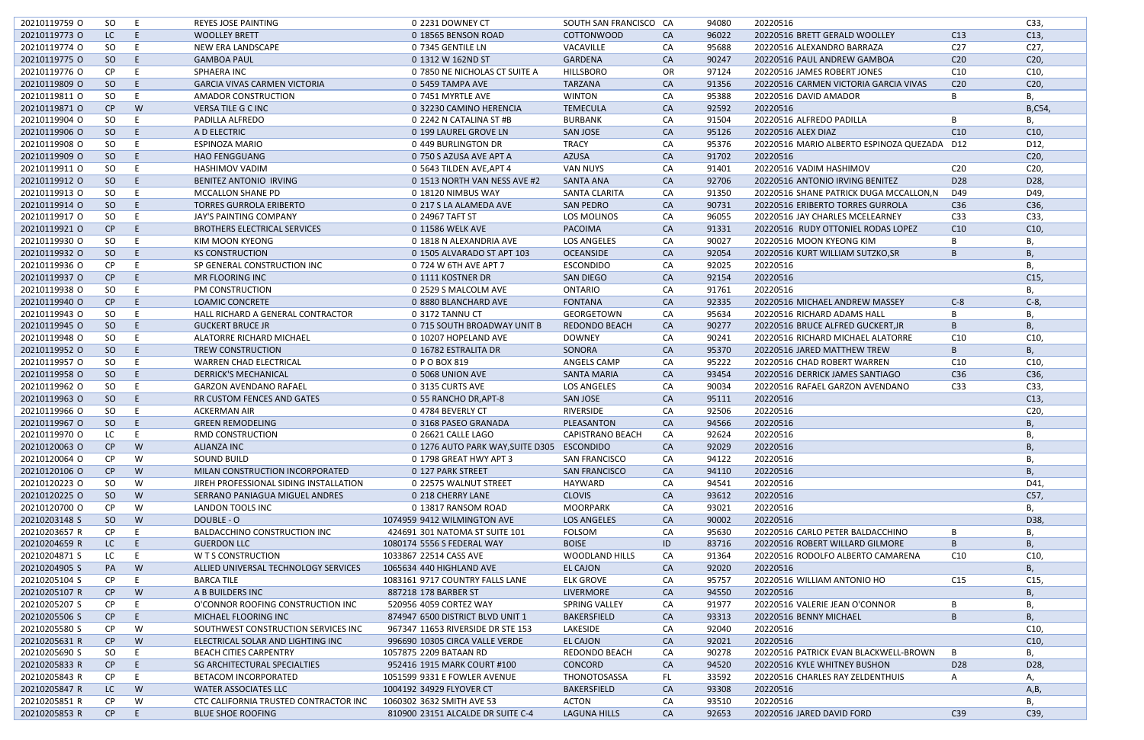| 20210119759 O | SO            | E  | <b>REYES JOSE PAINTING</b>             | 0 2231 DOWNEY CT                  | SOUTH SAN FRANCISCO CA  |           | 94080 | 20220516                                    |                 | C33,            |
|---------------|---------------|----|----------------------------------------|-----------------------------------|-------------------------|-----------|-------|---------------------------------------------|-----------------|-----------------|
| 20210119773 O | LC            | E  | <b>WOOLLEY BRETT</b>                   | 0 18565 BENSON ROAD               | <b>COTTONWOOD</b>       | <b>CA</b> | 96022 | 20220516 BRETT GERALD WOOLLEY               | C13             | C13,            |
| 20210119774 O | SO.           | E  | NEW ERA LANDSCAPE                      | 0 7345 GENTILE LN                 | VACAVILLE               | CA        | 95688 | 20220516 ALEXANDRO BARRAZA                  | C <sub>27</sub> | C27,            |
| 20210119775 O | <sub>SO</sub> | E  | <b>GAMBOA PAUL</b>                     | 0 1312 W 162ND ST                 | GARDENA                 | CA        | 90247 | 20220516 PAUL ANDREW GAMBOA                 | C <sub>20</sub> | C <sub>20</sub> |
| 20210119776 O | CP.           | -E | SPHAERA INC                            | 0 7850 NE NICHOLAS CT SUITE A     | <b>HILLSBORO</b>        | <b>OR</b> | 97124 | 20220516 JAMES ROBERT JONES                 | C <sub>10</sub> | C10,            |
| 20210119809 O | <sub>SO</sub> | E  | <b>GARCIA VIVAS CARMEN VICTORIA</b>    | 0 5459 TAMPA AVE                  | <b>TARZANA</b>          | <b>CA</b> | 91356 | 20220516 CARMEN VICTORIA GARCIA VIVAS       | C <sub>20</sub> | C <sub>20</sub> |
| 20210119811 O | <b>SO</b>     | -E | AMADOR CONSTRUCTION                    | 0 7451 MYRTLE AVE                 | <b>WINTON</b>           | CA        | 95388 | 20220516 DAVID AMADOR                       | B               | В,              |
| 20210119871 O | CP            | W  | <b>VERSA TILE G C INC</b>              | 0 32230 CAMINO HERENCIA           | <b>TEMECULA</b>         | <b>CA</b> | 92592 | 20220516                                    |                 | B,C54,          |
| 20210119904 O | <b>SO</b>     | E  | PADILLA ALFREDO                        | 0 2242 N CATALINA ST #B           | <b>BURBANK</b>          | CA        | 91504 | 20220516 ALFREDO PADILLA                    | B               |                 |
| 20210119906 O | SO            | E  | A D ELECTRIC                           | 0 199 LAUREL GROVE LN             | <b>SAN JOSE</b>         | <b>CA</b> | 95126 | 20220516 ALEX DIAZ                          | C10             | C10             |
| 20210119908 O | SO            | E  | <b>ESPINOZA MARIO</b>                  | 0 449 BURLINGTON DR               | <b>TRACY</b>            | CA        | 95376 | 20220516 MARIO ALBERTO ESPINOZA QUEZADA D12 |                 | D12,            |
| 20210119909 O | SO            | E  | <b>HAO FENGGUANG</b>                   | 0 750 S AZUSA AVE APT A           | <b>AZUSA</b>            | <b>CA</b> | 91702 | 20220516                                    |                 | C <sub>20</sub> |
| 20210119911 O | SO            |    | <b>HASHIMOV VADIM</b>                  | 0 5643 TILDEN AVE, APT 4          | <b>VAN NUYS</b>         | CA        | 91401 | 20220516 VADIM HASHIMOV                     | C <sub>20</sub> | C <sub>20</sub> |
| 20210119912 0 | SO            | E  | BENITEZ ANTONIO IRVING                 | 0 1513 NORTH VAN NESS AVE #2      | SANTA ANA               | CA        | 92706 | 20220516 ANTONIO IRVING BENITEZ             | D <sub>28</sub> | D28,            |
| 20210119913 O | <b>SO</b>     | E  | <b>MCCALLON SHANE PD</b>               | 0 18120 NIMBUS WAY                | SANTA CLARITA           | CA        | 91350 | 20220516 SHANE PATRICK DUGA MCCALLON, N     | D49             | D49,            |
| 20210119914 O | SO            | E  | <b>TORRES GURROLA ERIBERTO</b>         | 0 217 S LA ALAMEDA AVE            | <b>SAN PEDRO</b>        | <b>CA</b> | 90731 | 20220516 ERIBERTO TORRES GURROLA            | C36             | C36,            |
| 20210119917 O | SO            |    | JAY'S PAINTING COMPANY                 | 0 24967 TAFT ST                   | LOS MOLINOS             | CA        | 96055 | 20220516 JAY CHARLES MCELEARNEY             | C <sub>33</sub> | C33,            |
|               |               | E  |                                        |                                   | PACOIMA                 |           |       |                                             |                 | C10,            |
| 20210119921 O | CP            |    | <b>BROTHERS ELECTRICAL SERVICES</b>    | 0 11586 WELK AVE                  |                         | <b>CA</b> | 91331 | 20220516 RUDY OTTONIEL RODAS LOPEZ          | C10             |                 |
| 20210119930 O | SO            |    | <b>KIM MOON KYEONG</b>                 | 0 1818 N ALEXANDRIA AVE           | <b>LOS ANGELES</b>      | CA        | 90027 | 20220516 MOON KYEONG KIM                    | B               | В,              |
| 20210119932 O | SO            |    | <b>KS CONSTRUCTION</b>                 | 0 1505 ALVARADO ST APT 103        | <b>OCEANSIDE</b>        | CA        | 92054 | 20220516 KURT WILLIAM SUTZKO, SR            | B               | <b>B.</b>       |
| 20210119936 O | CP            | E  | SP GENERAL CONSTRUCTION INC            | 0 724 W 6TH AVE APT 7             | <b>ESCONDIDO</b>        | CA        | 92025 | 20220516                                    |                 | В,              |
| 20210119937 O | CP            | E  | MR FLOORING INC                        | 0 1111 KOSTNER DR                 | SAN DIEGO               | CA        | 92154 | 20220516                                    |                 | C15             |
| 20210119938 O | SO            | -F | PM CONSTRUCTION                        | 0 2529 S MALCOLM AVE              | <b>ONTARIO</b>          | CA        | 91761 | 20220516                                    |                 |                 |
| 20210119940 O | CP            |    | <b>LOAMIC CONCRETE</b>                 | 0 8880 BLANCHARD AVE              | <b>FONTANA</b>          | CA        | 92335 | 20220516 MICHAEL ANDREW MASSEY              | $C-8$           | $C-8$           |
| 20210119943 O | SO            |    | HALL RICHARD A GENERAL CONTRACTOR      | 0 3172 TANNU CT                   | GEORGETOWN              | CA        | 95634 | 20220516 RICHARD ADAMS HALL                 | B               | В.              |
| 20210119945 O | SO            |    | <b>GUCKERT BRUCE JR</b>                | 0 715 SOUTH BROADWAY UNIT B       | REDONDO BEACH           | <b>CA</b> | 90277 | 20220516 BRUCE ALFRED GUCKERT, JR           | B               | Β,              |
| 20210119948 O | SO            | -E | ALATORRE RICHARD MICHAEL               | 0 10207 HOPELAND AVE              | <b>DOWNEY</b>           | CA        | 90241 | 20220516 RICHARD MICHAEL ALATORRE           | C10             | C10,            |
| 20210119952 O | SO            | E  | <b>TREW CONSTRUCTION</b>               | 0 16782 ESTRALITA DR              | SONORA                  | CA        | 95370 | 20220516 JARED MATTHEW TREW                 | B               | В,              |
| 20210119957 O | SO            | -E | <b>WARREN CHAD ELECTRICAL</b>          | 0 P O BOX 819                     | ANGELS CAMP             | CA        | 95222 | 20220516 CHAD ROBERT WARREN                 | C <sub>10</sub> | C10,            |
| 20210119958 O | SO            |    | <b>DERRICK'S MECHANICAL</b>            | 0 5068 UNION AVE                  | <b>SANTA MARIA</b>      | <b>CA</b> | 93454 | 20220516 DERRICK JAMES SANTIAGO             | C <sub>36</sub> | C36,            |
| 20210119962 O | SO            | E  | <b>GARZON AVENDANO RAFAEL</b>          | 0 3135 CURTS AVE                  | <b>LOS ANGELES</b>      | CA        | 90034 | 20220516 RAFAEL GARZON AVENDANO             | C <sub>33</sub> | C33,            |
| 20210119963 O | <sub>SO</sub> |    | RR CUSTOM FENCES AND GATES             | 0 55 RANCHO DR, APT-8             | <b>SAN JOSE</b>         | <b>CA</b> | 95111 | 20220516                                    |                 | C13,            |
| 20210119966 O | SO.           | -E | <b>ACKERMAN AIR</b>                    | 0 4784 BEVERLY CT                 | RIVERSIDE               | CA        | 92506 | 20220516                                    |                 | C20             |
|               |               |    |                                        |                                   |                         |           |       |                                             |                 |                 |
| 20210119967 O | SO.           | F  | <b>GREEN REMODELING</b>                | 0 3168 PASEO GRANADA              | PLEASANTON              | <b>CA</b> | 94566 | 20220516                                    |                 | B               |
| 20210119970 O | LC            | L. | <b>RMD CONSTRUCTION</b>                | 0 26621 CALLE LAGO                | <b>CAPISTRANO BEACH</b> | CA        | 92624 | 20220516                                    |                 | в,              |
| 20210120063 O | CP            | W  | <b>ALIANZA INC</b>                     | 0 1276 AUTO PARK WAY, SUITE D305  | <b>ESCONDIDO</b>        | <b>CA</b> | 92029 | 20220516                                    |                 | B               |
| 20210120064 O | CP            | W  | <b>SOUND BUILD</b>                     | 0 1798 GREAT HWY APT 3            | SAN FRANCISCO           | CA        | 94122 | 20220516                                    |                 | В,              |
| 20210120106 O | CP            | W  | MILAN CONSTRUCTION INCORPORATED        | 0 127 PARK STREET                 | <b>SAN FRANCISCO</b>    | <b>CA</b> | 94110 | 20220516                                    |                 | Β,              |
| 20210120223 O | SO            | W  | JIREH PROFESSIONAL SIDING INSTALLATION | 0 22575 WALNUT STREET             | HAYWARD                 | CA        | 94541 | 20220516                                    |                 | D41,            |
| 20210120225 O | <sub>SO</sub> | W  | SERRANO PANIAGUA MIGUEL ANDRES         | 0 218 CHERRY LANE                 | <b>CLOVIS</b>           | <b>CA</b> | 93612 | 20220516                                    |                 | C57,            |
| 20210120700 O | CP.           | W  | <b>LANDON TOOLS INC</b>                | 0 13817 RANSOM ROAD               | <b>MOORPARK</b>         | CA        | 93021 | 20220516                                    |                 |                 |
| 20210203148 S | SO            | W  | DOUBLE - O                             | 1074959 9412 WILMINGTON AVE       | <b>LOS ANGELES</b>      | <b>CA</b> | 90002 | 20220516                                    |                 | D38,            |
| 20210203657 R | CP.           | -E | <b>BALDACCHINO CONSTRUCTION INC</b>    | 424691 301 NATOMA ST SUITE 101    | <b>FOLSOM</b>           | CA        | 95630 | 20220516 CARLO PETER BALDACCHINO            | B               | В,              |
| 20210204659 R | LC.           | E  | <b>GUERDON LLC</b>                     | 1080174 5556 S FEDERAL WAY        | <b>BOISE</b>            | ID        | 83716 | 20220516 ROBERT WILLARD GILMORE             | B               | В,              |
| 20210204871 S | LC            |    | W T S CONSTRUCTION                     | 1033867 22514 CASS AVE            | <b>WOODLAND HILLS</b>   | CA        | 91364 | 20220516 RODOLFO ALBERTO CAMARENA           | C10             | C10,            |
| 20210204905 S | PA            | W  | ALLIED UNIVERSAL TECHNOLOGY SERVICES   | 1065634 440 HIGHLAND AVE          | <b>EL CAJON</b>         | <b>CA</b> | 92020 | 20220516                                    |                 | Β,              |
| 20210205104 S | CP.           | -E | <b>BARCA TILE</b>                      | 1083161 9717 COUNTRY FALLS LANE   | <b>ELK GROVE</b>        | CA        | 95757 | 20220516 WILLIAM ANTONIO HO                 | C15             | C <sub>15</sub> |
| 20210205107 R | CP.           | W  | A B BUILDERS INC                       | 887218 178 BARBER ST              | LIVERMORE               | <b>CA</b> | 94550 | 20220516                                    |                 | Β,              |
| 20210205207 S | CP.           | -E | O'CONNOR ROOFING CONSTRUCTION INC      | 520956 4059 CORTEZ WAY            | SPRING VALLEY           | CA        | 91977 | 20220516 VALERIE JEAN O'CONNOR              | B               | В,              |
| 20210205506 S | CP            | E  | MICHAEL FLOORING INC                   | 874947 6500 DISTRICT BLVD UNIT 1  | BAKERSFIELD             | <b>CA</b> | 93313 | 20220516 BENNY MICHAEL                      | B               | B,              |
| 20210205580 S | CP.           | W  | SOUTHWEST CONSTRUCTION SERVICES INC    | 967347 11653 RIVERSIDE DR STE 153 |                         | CA        | 92040 | 20220516                                    |                 | C10,            |
|               |               |    |                                        |                                   | LAKESIDE                |           |       |                                             |                 |                 |
| 20210205631 R | CP            | W  | ELECTRICAL SOLAR AND LIGHTING INC      | 996690 10305 CIRCA VALLE VERDE    | <b>EL CAJON</b>         | <b>CA</b> | 92021 | 20220516                                    |                 | C10,            |
| 20210205690 S | SO.           | -E | <b>BEACH CITIES CARPENTRY</b>          | 1057875 2209 BATAAN RD            | <b>REDONDO BEACH</b>    | CA        | 90278 | 20220516 PATRICK EVAN BLACKWELL-BROWN       | B               | В,              |
| 20210205833 R | CP.           |    | SG ARCHITECTURAL SPECIALTIES           | 952416 1915 MARK COURT #100       | CONCORD                 | <b>CA</b> | 94520 | 20220516 KYLE WHITNEY BUSHON                | D <sub>28</sub> | D28,            |
| 20210205843 R | CP.           | -E | <b>BETACOM INCORPORATED</b>            | 1051599 9331 E FOWLER AVENUE      | THONOTOSASSA            | FL.       | 33592 | 20220516 CHARLES RAY ZELDENTHUIS            | Α               | А,              |
| 20210205847 R | LC            | W  | WATER ASSOCIATES LLC                   | 1004192 34929 FLYOVER CT          | BAKERSFIELD             | <b>CA</b> | 93308 | 20220516                                    |                 | A,B,            |
| 20210205851 R | CP            | W  | CTC CALIFORNIA TRUSTED CONTRACTOR INC  | 1060302 3632 SMITH AVE 53         | <b>ACTON</b>            | CA        | 93510 | 20220516                                    |                 |                 |
| 20210205853 R | CP            |    | <b>BLUE SHOE ROOFING</b>               | 810900 23151 ALCALDE DR SUITE C-4 | <b>LAGUNA HILLS</b>     | <b>CA</b> | 92653 | 20220516 JARED DAVID FORD                   | C39             | C39,            |